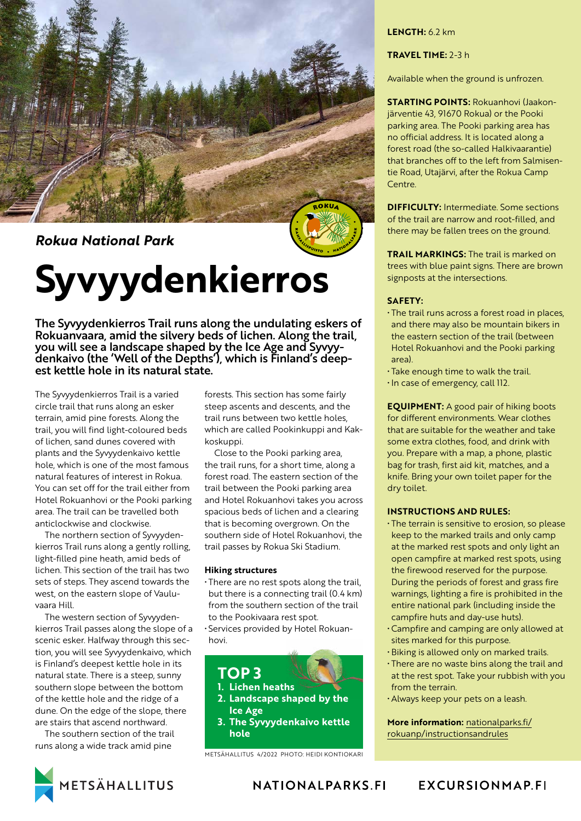

*Rokua National Park*

# **Syvyydenkierros**

The Syvyydenkierros Trail runs along the undulating eskers of Rokuanvaara, amid the silvery beds of lichen. Along the trail, you will see a landscape shaped by the Ice Age and Syvyydenkaivo (the 'Well of the Depths'), which is Finland's deepest kettle hole in its natural state.

The Syvyydenkierros Trail is a varied circle trail that runs along an esker terrain, amid pine forests. Along the trail, you will find light-coloured beds of lichen, sand dunes covered with plants and the Syvyydenkaivo kettle hole, which is one of the most famous natural features of interest in Rokua. You can set off for the trail either from Hotel Rokuanhovi or the Pooki parking area. The trail can be travelled both anticlockwise and clockwise.

The northern section of Syvyydenkierros Trail runs along a gently rolling, light-filled pine heath, amid beds of lichen. This section of the trail has two sets of steps. They ascend towards the west, on the eastern slope of Vauluvaara Hill.

The western section of Syvyydenkierros Trail passes along the slope of a scenic esker. Halfway through this section, you will see Syvyydenkaivo, which is Finland's deepest kettle hole in its natural state. There is a steep, sunny southern slope between the bottom of the kettle hole and the ridge of a dune. On the edge of the slope, there are stairs that ascend northward.

The southern section of the trail runs along a wide track amid pine

forests. This section has some fairly steep ascents and descents, and the trail runs between two kettle holes, which are called Pookinkuppi and Kakkoskuppi.

Close to the Pooki parking area, the trail runs, for a short time, along a forest road. The eastern section of the trail between the Pooki parking area and Hotel Rokuanhovi takes you across spacious beds of lichen and a clearing that is becoming overgrown. On the southern side of Hotel Rokuanhovi, the trail passes by Rokua Ski Stadium.

### **Hiking structures**

• There are no rest spots along the trail, but there is a connecting trail (0.4 km) from the southern section of the trail to the Pookivaara rest spot.

• Services provided by Hotel Rokuanhovi.



METSÄHALLITUS 4/2022 PHOTO: HEIDI KONTIOKARI

# **LENGTH:** 6.2 km

# **TRAVEL TIME:** 2-3 h

Available when the ground is unfrozen.

**STARTING POINTS:** Rokuanhovi (Jaakonjärventie 43, 91670 Rokua) or the Pooki parking area. The Pooki parking area has no official address. It is located along a forest road (the so-called Halkivaarantie) that branches off to the left from Salmisentie Road, Utajärvi, after the Rokua Camp Centre.

**DIFFICULTY:** Intermediate. Some sections of the trail are narrow and root-filled, and there may be fallen trees on the ground.

**TRAIL MARKINGS:** The trail is marked on trees with blue paint signs. There are brown signposts at the intersections.

#### **SAFETY:**

- The trail runs across a forest road in places, and there may also be mountain bikers in the eastern section of the trail (between Hotel Rokuanhovi and the Pooki parking area).
- Take enough time to walk the trail. • In case of emergency, call 112.

**EQUIPMENT:** A good pair of hiking boots for different environments. Wear clothes that are suitable for the weather and take some extra clothes, food, and drink with you. Prepare with a map, a phone, plastic bag for trash, first aid kit, matches, and a knife. Bring your own toilet paper for the dry toilet.

## **INSTRUCTIONS AND RULES:**

- The terrain is sensitive to erosion, so please keep to the marked trails and only camp at the marked rest spots and only light an open campfire at marked rest spots, using the firewood reserved for the purpose. During the periods of forest and grass fire warnings, lighting a fire is prohibited in the entire national park (including inside the campfire huts and day-use huts).
- Campfire and camping are only allowed at sites marked for this purpose.
- Biking is allowed only on marked trails.
- There are no waste bins along the trail and at the rest spot. Take your rubbish with you from the terrain.
- Always keep your pets on a leash.

**More information:** [nationalparks.fi/](https://www.nationalparks.fi/rokuanp/instructionsandrules) [rokuanp/instructionsandrules](https://www.nationalparks.fi/rokuanp/instructionsandrules)